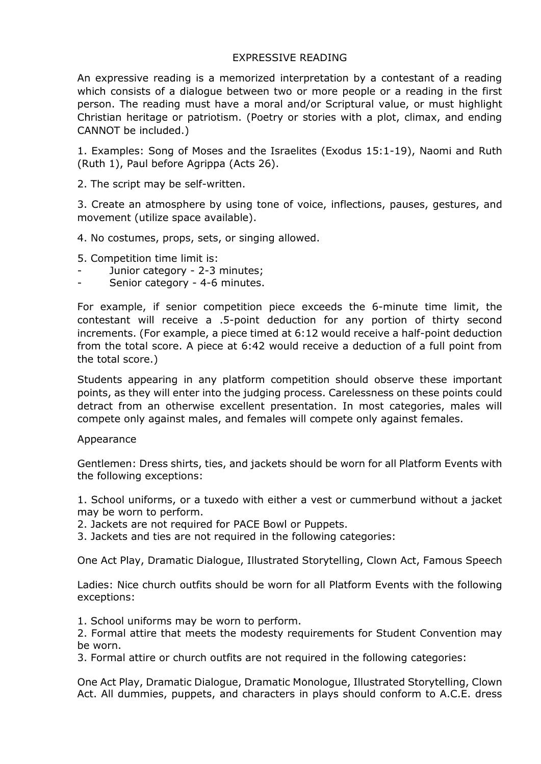# EXPRESSIVE READING

An expressive reading is a memorized interpretation by a contestant of a reading which consists of a dialogue between two or more people or a reading in the first person. The reading must have a moral and/or Scriptural value, or must highlight Christian heritage or patriotism. (Poetry or stories with a plot, climax, and ending CANNOT be included.)

1. Examples: Song of Moses and the Israelites (Exodus 15:1-19), Naomi and Ruth (Ruth 1), Paul before Agrippa (Acts 26).

2. The script may be self-written.

3. Create an atmosphere by using tone of voice, inflections, pauses, gestures, and movement (utilize space available).

4. No costumes, props, sets, or singing allowed.

5. Сompetition time limit is:

- Junior category 2-3 minutes;
- Senior category 4-6 minutes.

For example, if senior competition piece exceeds the 6-minute time limit, the contestant will receive a .5-point deduction for any portion of thirty second increments. (For example, a piece timed at 6:12 would receive a half-point deduction from the total score. A piece at 6:42 would receive a deduction of a full point from the total score.)

Students appearing in any platform competition should observe these important points, as they will enter into the judging process. Carelessness on these points could detract from an otherwise excellent presentation. In most categories, males will compete only against males, and females will compete only against females.

## Appearance

Gentlemen: Dress shirts, ties, and jackets should be worn for all Platform Events with the following exceptions:

1. School uniforms, or a tuxedo with either a vest or cummerbund without a jacket may be worn to perform.

- 2. Jackets are not required for PACE Bowl or Puppets.
- 3. Jackets and ties are not required in the following categories:

One Act Play, Dramatic Dialogue, Illustrated Storytelling, Clown Act, Famous Speech

Ladies: Nice church outfits should be worn for all Platform Events with the following exceptions:

1. School uniforms may be worn to perform.

2. Formal attire that meets the modesty requirements for Student Convention may be worn.

3. Formal attire or church outfits are not required in the following categories:

One Act Play, Dramatic Dialogue, Dramatic Monologue, Illustrated Storytelling, Clown Act. All dummies, puppets, and characters in plays should conform to A.C.E. dress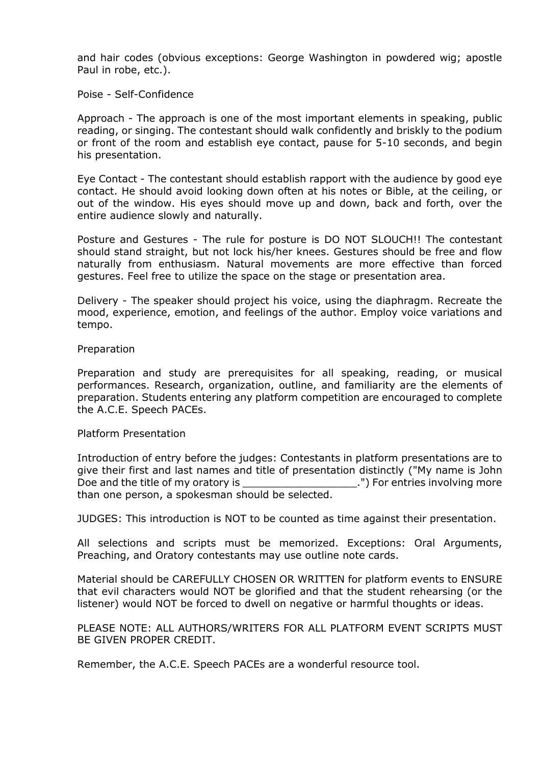and hair codes (obvious exceptions: George Washington in powdered wig; apostle Paul in robe, etc.).

Poise - Self-Confidence

Approach - The approach is one of the most important elements in speaking, public reading, or singing. The contestant should walk confidently and briskly to the podium or front of the room and establish eye contact, pause for 5-10 seconds, and begin his presentation.

Eye Contact - The contestant should establish rapport with the audience by good eye contact. He should avoid looking down often at his notes or Bible, at the ceiling, or out of the window. His eyes should move up and down, back and forth, over the entire audience slowly and naturally.

Posture and Gestures - The rule for posture is DO NOT SLOUCH!! The contestant should stand straight, but not lock his/her knees. Gestures should be free and flow naturally from enthusiasm. Natural movements are more effective than forced gestures. Feel free to utilize the space on the stage or presentation area.

Delivery - The speaker should project his voice, using the diaphragm. Recreate the mood, experience, emotion, and feelings of the author. Employ voice variations and tempo.

#### Preparation

Preparation and study are prerequisites for all speaking, reading, or musical performances. Research, organization, outline, and familiarity are the elements of preparation. Students entering any platform competition are encouraged to complete the A.C.E. Speech PACEs.

#### Platform Presentation

Introduction of entry before the judges: Contestants in platform presentations are to give their first and last names and title of presentation distinctly ("My name is John Doe and the title of my oratory is \_\_\_\_\_\_\_\_\_\_\_\_\_\_\_\_\_\_.") For entries involving more than one person, a spokesman should be selected.

JUDGES: This introduction is NOT to be counted as time against their presentation.

All selections and scripts must be memorized. Exceptions: Oral Arguments, Preaching, and Oratory contestants may use outline note cards.

Material should be CAREFULLY CHOSEN OR WRITTEN for platform events to ENSURE that evil characters would NOT be glorified and that the student rehearsing (or the listener) would NOT be forced to dwell on negative or harmful thoughts or ideas.

PLEASE NOTE: ALL AUTHORS/WRITERS FOR ALL PLATFORM EVENT SCRIPTS MUST BE GIVEN PROPER CREDIT.

Remember, the A.C.E. Speech PACEs are a wonderful resource tool.